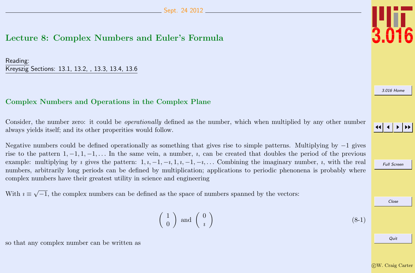# <span id="page-0-0"></span>Lecture 8: Complex Numbers and Euler's Formula

Reading: Kreyszig Sections: 13.1, 13.2, , 13.3, 13.4, 13.6

## Complex Numbers and Operations in the Complex Plane

Consider, the number zero: it could be operationally defined as the number, which when multiplied by any other number always yields itself; and its other properities would follow.

Negative numbers could be defined operationally as something that gives rise to simple patterns. Multiplying by −1 gives rise to the pattern  $1, -1, 1, -1, \ldots$  In the same vein, a number,  $i$ , can be created that doubles the period of the previous example: multiplying by *i* gives the pattern:  $1, i, -1, -i, 1, i, -1, -i, \ldots$  Combining the imaginary number, *i*, with the real numbers, arbitrarily long periods can be defined by multiplication; applications to periodic phenonena is probably where complex numbers have their greatest utility in science and engineering

With  $i \equiv$ √  $\overline{-1}$ , the complex numbers can be defined as the space of numbers spanned by the vectors:

so that any complex number can be written as

#### $\begin{pmatrix} 1 \end{pmatrix}$ 0  $\Big)$  and  $\Big( \begin{array}{c} 0 \\ 0 \end{array} \Big)$ ı  $\setminus$



[3.016 Home](http://pruffle.mit.edu/3.016-2012/)

## JJ J I II

Full Screen Close Quit

(8-1)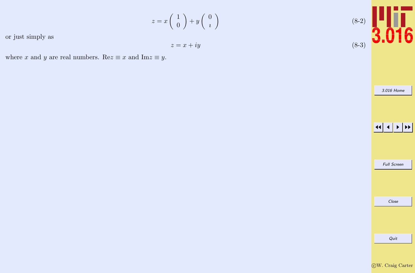

or just simply as

$$
z = x + iy
$$

where x and y are real numbers. Re $z \equiv x$  and Im $z \equiv y$ .





3.016 Home

Quit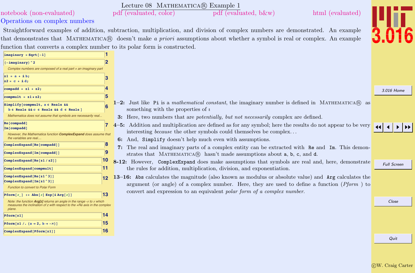<span id="page-2-0"></span>

|                                                                                                                                                                      |                | Lecture 08 MATHEMATICA(R) Example 1                                                                                                                                                                      |                    |
|----------------------------------------------------------------------------------------------------------------------------------------------------------------------|----------------|----------------------------------------------------------------------------------------------------------------------------------------------------------------------------------------------------------|--------------------|
| notebook (non-evaluated)                                                                                                                                             |                | pdf (evaluated, color)<br>pdf (evaluated, b&w)<br>html (evaluated)                                                                                                                                       |                    |
| Operations on complex numbers                                                                                                                                        |                |                                                                                                                                                                                                          |                    |
|                                                                                                                                                                      |                | Straightforward examples of addition, subtraction, multiplication, and division of complex numbers are demonstrated. An example                                                                          |                    |
|                                                                                                                                                                      |                | that demonstrates that MATHEMATICA® doesn't make a priori assumptions about whether a symbol is real or complex. An example                                                                              |                    |
| function that converts a complex number to its polar form is constructed.                                                                                            |                |                                                                                                                                                                                                          |                    |
| $imaginary = Sqrt[-1]$                                                                                                                                               |                |                                                                                                                                                                                                          |                    |
| $(-imaginary)^2$<br>Complex numbers are composed of a real part + an imaginary part                                                                                  | $\overline{2}$ |                                                                                                                                                                                                          |                    |
| $z1 = a + ib;$<br>$z2 = c + id;$                                                                                                                                     | 3              |                                                                                                                                                                                                          |                    |
| compadd = $z1 + z2$ ;                                                                                                                                                | Z              |                                                                                                                                                                                                          | 3.016 Home         |
| compmult = $z1 * z2$ ;                                                                                                                                               | 5              |                                                                                                                                                                                                          |                    |
| Simplify [compmult, $a \in$ Reals &&<br>$b \in$ Reals && c $\in$ Reals && d $\in$ Reals ]                                                                            |                | 1-2: Just like Pi is a mathematical constant, the imaginary number is defined in MATHEMATICA $\circledR$ as<br>something with the properties of $\imath$                                                 |                    |
| Mathematica does not assume that symbols are necessarily real                                                                                                        |                | 3: Here, two numbers that are <i>potentially</i> , but not necessarily complex are defined.                                                                                                              |                    |
| Re [compadd]<br>Im [compadd]                                                                                                                                         |                | 4-5: Addition and multiplication are defined as for any symbol; here the results do not appear to be very<br>interesting <i>because</i> the other symbols could themselves be complex                    |                    |
| However, the Mathematica function ComplexExpand does assume that<br>the variables are real                                                                           |                | 6: And, Simplify doesn't help much even with assumptions.                                                                                                                                                |                    |
| ComplexExpand[Re[compadd]]                                                                                                                                           | 8              | 7: The real and imaginary parts of a complex entity can be extracted with Re and Im. This demon-                                                                                                         |                    |
| ComplexExpand[Im[compadd]]                                                                                                                                           | 9              | strates that MATHEMATICA® hasn't made assumptions about a, b, c, and d.                                                                                                                                  |                    |
| ComplexExpand[Re[z1/z2]]                                                                                                                                             | 10             | 8-12: However, ComplexExpand does make assumptions that symbols are real and, here, demonstrate                                                                                                          | <b>Full Screen</b> |
| ComplexExpand[compmult]                                                                                                                                              | 11             | the rules for addition, multiplication, division, and exponentiation.                                                                                                                                    |                    |
| ComplexExpand[Re[z1^3]]<br>$ComplexExpand[Im[z1^3]]$                                                                                                                 | 12             | 13–16: Abs calculates the magnitude (also known as modulus or absolute value) and Arg calculates the<br>argument (or angle) of a complex number. Here, they are used to define a function ( $Pform$ ) to |                    |
| Function to convert to Polar Form                                                                                                                                    |                | convert and expression to an equivalent polar form of a complex number.                                                                                                                                  |                    |
| $Pform[z] := Abs[z] Exp[iArg[z]]$                                                                                                                                    | 13             |                                                                                                                                                                                                          |                    |
| Note: the function Arg[z] returns an angle in the range $-\pi$ to $\pi$ which<br>measures the inclination of z with respect to the +Re axis in the complex<br>plane. |                |                                                                                                                                                                                                          | Close              |
| Pform[z1]                                                                                                                                                            | 14             |                                                                                                                                                                                                          |                    |
| Pform [z1 /. { $a \rightarrow 2$ , $b \rightarrow -\pi$ }]                                                                                                           | 15             |                                                                                                                                                                                                          |                    |
| ComplexExpand[Pform[z1]]                                                                                                                                             | 16             |                                                                                                                                                                                                          |                    |
|                                                                                                                                                                      |                |                                                                                                                                                                                                          | Quit               |
|                                                                                                                                                                      |                |                                                                                                                                                                                                          |                    |
|                                                                                                                                                                      |                |                                                                                                                                                                                                          |                    |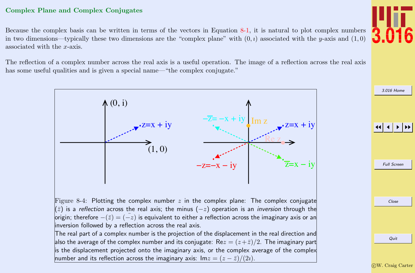#### <span id="page-3-0"></span>Complex Plane and Complex Conjugates

Because the complex basis can be written in terms of the vectors in Equation [8-1,](#page-0-0) it is natural to plot complex numbers in two dimensions—typically these two dimensions are the "complex plane" with  $(0, i)$  associated with the y-axis and  $(1, 0)$ associated with the x-axis.

The reflection of a complex number across the real axis is a useful operation. The image of a reflection across the real axis has some useful qualities and is given a special name—"the complex conjugate."



[3.016 Home](http://pruffle.mit.edu/3.016-2012/)

JJ J I II

Full Screen Close Quit c W. Craig Carter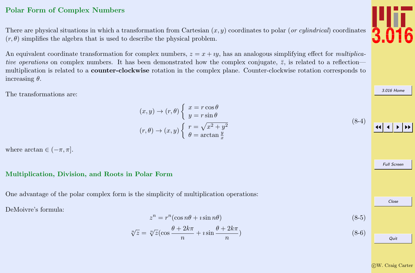### <span id="page-4-0"></span>Polar Form of Complex Numbers

There are physical situations in which a transformation from Cartesian  $(x, y)$  coordinates to polar (or cylindrical) coordinates  $(r, \theta)$  simplifies the algebra that is used to describe the physical problem.

An equivalent coordinate transformation for complex numbers,  $z = x + iy$ , has an analogous simplifying effect for multiplicative operations on complex numbers. It has been demonstrated how the complex conjugate,  $\bar{z}$ , is related to a reflection multiplication is related to a counter-clockwise rotation in the complex plane. Counter-clockwise rotation corresponds to increasing  $\theta$ .

The transformations are:

 $(x, y) \rightarrow (r, \theta) \left\{ x = r \cos \theta \right\}$  $y = r \sin \theta$  $(r, \theta) \rightarrow (x, y) \begin{cases} r = \sqrt{x^2 + y^2} \\ 0 \end{cases}$  $\theta = \arctan \frac{y}{x}$ 

where  $\arctan \in (-\pi, \pi]$ .

#### Multiplication, Division, and Roots in Polar Form

One advantage of the polar complex form is the simplicity of multiplication operations:

DeMoivre's formula:

$$
z^n = r^n(\cos n\theta + i\sin n\theta) \tag{8-5}
$$

$$
\sqrt[n]{z} = \sqrt[n]{z} \left(\cos \frac{\theta + 2k\pi}{n} + i \sin \frac{\theta + 2k\pi}{n}\right) \tag{8-6}
$$

c W. Craig Carter



[3.016 Home](http://pruffle.mit.edu/3.016-2012/)

(8-4)

JJ J I II Full Screen Close Quit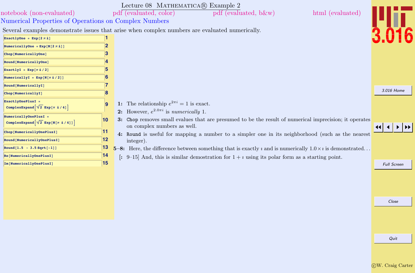<span id="page-5-0"></span>

| notebook (non-evaluated)                                                    |    | Lecture 08 MATHEMATICA(R) Example 2<br>html (evaluated)<br>pdf (evaluated, b&w)<br>pdf (evaluated, color)                   |                    |
|-----------------------------------------------------------------------------|----|-----------------------------------------------------------------------------------------------------------------------------|--------------------|
|                                                                             |    |                                                                                                                             |                    |
| Numerical Properties of Operations on Complex Numbers                       |    |                                                                                                                             |                    |
|                                                                             |    | Several examples demonstrate issues that arise when complex numbers are evaluated numerically.                              |                    |
| ExactlyOne = $Exp[2 \pi i]$                                                 |    |                                                                                                                             |                    |
| NumericallyOne = $Exp[N[2 \pi i]]$                                          | 2  |                                                                                                                             |                    |
| Chop[NumericallyOne]                                                        | з  |                                                                                                                             |                    |
| Round [NumericallyOne]                                                      |    |                                                                                                                             |                    |
| ExactlyI = $Exp[\pi \nightharpoonup 2]$                                     | 5  |                                                                                                                             |                    |
| NumericallyI = $Exp[N[\pi \text{ i} / 2]]$                                  | 6  |                                                                                                                             |                    |
| Round [NumericallyI]                                                        |    |                                                                                                                             |                    |
| Chop[NumericallyI]                                                          | 8  |                                                                                                                             | 3.016 Home         |
| ExactlyOnePlusI =                                                           | 9  | 1: The relationship $e^{2\pi i} = 1$ is exact.                                                                              |                    |
| ComplexExpand $\left[\sqrt{2} \operatorname{Exp}[\pi \pm \sqrt{4}] \right]$ |    | 2: However, $e^{2.0\pi i}$ is numerically 1.                                                                                |                    |
| NumericallyOnePlusI =                                                       | 10 | 3: Chop removes small evalues that are presumed to be the result of numerical imprecision; it operates                      |                    |
| ComplexExpand $\sqrt{2}$ Exp[N[ $\pi$ i/4]]                                 |    | on complex numbers as well.                                                                                                 |                    |
| Chop[NumericallyOnePlusI]                                                   | 11 | 4: Round is useful for mapping a number to a simpler one in its neighborhood (such as the nearest                           |                    |
| Round [NumericallyOnePlusI]                                                 | 12 | integer).                                                                                                                   |                    |
| Round $[1.5 - 3.5 Sqrt[-1]]$                                                | 13 | 5-8: Here, the difference between something that is exactly $\imath$ and is numerically $1.0 \times \imath$ is demonstrated |                    |
| Re[NumericallyOnePlusI]                                                     | 14 | [: 9-15] And, this is similar demostration for $1 + i$ using its polar form as a starting point.                            |                    |
| Im [NumericallyOnePlusI]                                                    | 15 |                                                                                                                             | <b>Full Screen</b> |
|                                                                             |    |                                                                                                                             |                    |
|                                                                             |    |                                                                                                                             |                    |
|                                                                             |    |                                                                                                                             |                    |
|                                                                             |    |                                                                                                                             |                    |

Quit

Close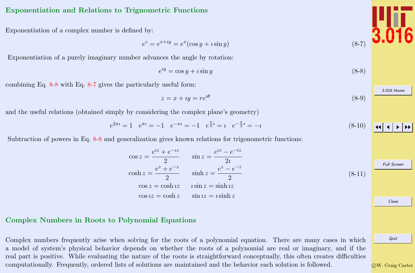#### <span id="page-6-0"></span>Exponentiation and Relations to Trignometric Functions

Exponentiation of a complex number is defined by:

$$
e^z = e^{x+iy} = e^x(\cos y + i\sin y) \tag{8-7}
$$

Exponentiation of a purely imaginary number advances the angle by rotation:

$$
e^{iy} = \cos y + i \sin y \tag{8-8}
$$

combining Eq. 8-8 with Eq. 8-7 gives the particularly useful form:

$$
z = x + iy = re^{i\theta} \tag{8-9}
$$

and the useful relations (obtained simply by considering the complex plane's geometry)

$$
e^{2\pi i} = 1 \quad e^{\pi i} = -1 \quad e^{-\pi i} = -1 \quad e^{\frac{\pi}{2}i} = i \quad e^{-\frac{\pi}{2}i} = -i \tag{8-10}
$$

Subtraction of powers in Eq. 8-8 and generalization gives known relations for trigonometric functions:

$$
\cos z = \frac{e^{iz} + e^{-iz}}{2} \qquad \sin z = \frac{e^{iz} - e^{-iz}}{2i}
$$
  
\n
$$
\cosh z = \frac{e^{z} + e^{-z}}{2} \qquad \sinh z = \frac{e^{z} - e^{-z}}{2}
$$
  
\n
$$
\cos z = \cosh iz \qquad i \sin z = \sinh iz
$$
  
\n
$$
\cos iz = \cosh z \qquad \sin iz = i \sinh z
$$
  
\n(8-11)

### Complex Numbers in Roots to Polynomial Equations

Complex numbers frequently arise when solving for the roots of a polynomial equation. There are many cases in which a model of system's physical behavior depends on whether the roots of a polynomial are real or imaginary, and if the real part is positive. While evaluating the nature of the roots is straightforward conceptually, this often creates difficulties computationally. Frequently, ordered lists of solutions are maintained and the behavior each solution is followed.

c W. Craig Carter

Quit



[3.016 Home](http://pruffle.mit.edu/3.016-2012/)

 $\blacktriangleright\blacktriangleright$ 

Full Screen

Close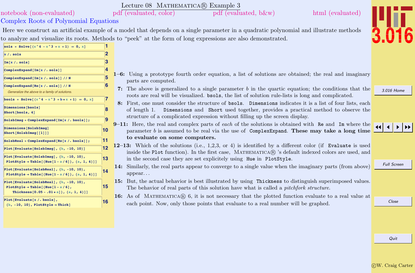<span id="page-7-0"></span>

| pdf (evaluated, color)<br>pdf (evaluated, b&w)<br>html (evaluated)<br>notebook (non-evaluated)<br>Complex Roots of Polynomial Equations<br>Here we construct an artificial example of a model that depends on a single parameter in a quadratic polynomial and illustrate methods<br>sols = Solve $[(x^4 - x^3 + x + 1) = 0, x]$<br>$\overline{\mathbf{2}}$<br>$x / .$ sols<br>3<br>Im[x / . sols]<br>4<br>ComplexExpand[Im[x/.sols]]<br>$1-6$ : Using a prototype fourth order equation, a list of solutions are obtained; the real and imaginary<br>ComplexExpand[Im[x /. sols]] // N<br>parts are computed.<br>6<br>ComplexExpand[Re[x /. sols]] // N<br>7. The above is generalized to a single parameter b in the quartic equation; the conditions that the<br>3.016 Home<br>Generalize the above to a family of solutions.<br>roots are real will be visualized. bsols, the list of solution rule-lists is long and complicated.<br>7<br>bsols = Solve $[(x^4 - x^3 + b*x + 1) = 0, x]$<br>8: First, one must consider the structure of bsols. Dimensions indicates it is a list of four lists, each<br>Dimensions[bsols]<br>8<br>of length 1. Dimensions and Short used together, provides a practical method to observe the<br>Short[bsols, 4]<br>structure of a complicated expression without filling up the screen display.<br>9<br>$SolsbImage = ComplexExpand[Im[x / . bosols ];$<br>9-11: Here, the real and complex parts of each of the solutions is obtained with Re and Im where the<br>Dimensions [SolsbImaq]<br> 10<br>parameter $b$ is assumed to be real via the use of Complex Expand. These may take a long time<br>Short [SolsbImaq [[1]]]<br>to evaluate on some computers.<br>11<br>$SolsbReal = ComplexExpand[Re[x / . bosols]];$<br>12–13: Which of the solutions (i.e., 1,2,3, or 4) is identified by a different color (if Evaluate is used<br>12<br>Plot[Evaluate[SolsbImag], $\{b, -10, 10\}$ ]<br>inside the Plot function). In the first case, MATHEMATICA® 's default indexed colors are used, and<br>Plot[Evaluate[SolsbImag], {b, -10, 10},<br>13<br>in the second case they are set explicitely using Hue in PlotStyle.<br>PlotStyle → Table[{Hue[1 - a / 6]}, {a, 1, 4}]]<br><b>Full Screen</b><br>14: Similarly, the real parts appear to converge to a single value when the imaginary parts (from above)<br>Plot[Evaluate[SolsbReal], {b, -10, 10},<br>14<br>$appear.$<br>PlotStyle → Table [{Hue [1 - a / 6]}, {a, 1, 4}]]<br>15: But, the actual behavior is best illustrated by using Thickness to distinguish superimposed values.<br>Plot[Evaluate[SolsbReal], {b, -10, 10},<br>15<br>PlotStyle $\rightarrow$ Table [{Hue [1 - a / 6],<br>The behavior of real parts of this solution have what is called a <i>pitchfork structure</i> .<br>Thickness $[0.05 - .01 * a]$ , $\{a, 1, 4\}]$<br>16: As of MATHEMATICA( $\mathbb{R}$ ) 6, it is not necessary that the plotted function evaluate to a real value at<br>Plot[Evaluate[x /. bsols],<br>Close<br> 16<br>each point. Now, only those points that evaluate to a real number will be graphed.<br>${b, -10, 10}$ , PlotStyle $\rightarrow$ Thick] |  | Lecture 08 MATHEMATICA(R) Example 3 |  |  |      |  |  |  |  |
|--------------------------------------------------------------------------------------------------------------------------------------------------------------------------------------------------------------------------------------------------------------------------------------------------------------------------------------------------------------------------------------------------------------------------------------------------------------------------------------------------------------------------------------------------------------------------------------------------------------------------------------------------------------------------------------------------------------------------------------------------------------------------------------------------------------------------------------------------------------------------------------------------------------------------------------------------------------------------------------------------------------------------------------------------------------------------------------------------------------------------------------------------------------------------------------------------------------------------------------------------------------------------------------------------------------------------------------------------------------------------------------------------------------------------------------------------------------------------------------------------------------------------------------------------------------------------------------------------------------------------------------------------------------------------------------------------------------------------------------------------------------------------------------------------------------------------------------------------------------------------------------------------------------------------------------------------------------------------------------------------------------------------------------------------------------------------------------------------------------------------------------------------------------------------------------------------------------------------------------------------------------------------------------------------------------------------------------------------------------------------------------------------------------------------------------------------------------------------------------------------------------------------------------------------------------------------------------------------------------------------------------------------------------------------------------------------------------------------------------------------------------------------------------------------------------------------------------------------------------------------------------------------------------------------------------------------------------------------------------------------------------------------------------------------------------------------------------------------------------------------------------------------------|--|-------------------------------------|--|--|------|--|--|--|--|
|                                                                                                                                                                                                                                                                                                                                                                                                                                                                                                                                                                                                                                                                                                                                                                                                                                                                                                                                                                                                                                                                                                                                                                                                                                                                                                                                                                                                                                                                                                                                                                                                                                                                                                                                                                                                                                                                                                                                                                                                                                                                                                                                                                                                                                                                                                                                                                                                                                                                                                                                                                                                                                                                                                                                                                                                                                                                                                                                                                                                                                                                                                                                                        |  |                                     |  |  |      |  |  |  |  |
|                                                                                                                                                                                                                                                                                                                                                                                                                                                                                                                                                                                                                                                                                                                                                                                                                                                                                                                                                                                                                                                                                                                                                                                                                                                                                                                                                                                                                                                                                                                                                                                                                                                                                                                                                                                                                                                                                                                                                                                                                                                                                                                                                                                                                                                                                                                                                                                                                                                                                                                                                                                                                                                                                                                                                                                                                                                                                                                                                                                                                                                                                                                                                        |  |                                     |  |  |      |  |  |  |  |
| to analyze and visualize its roots. Methods to "peek" at the form of long expressions are also demonstrated.                                                                                                                                                                                                                                                                                                                                                                                                                                                                                                                                                                                                                                                                                                                                                                                                                                                                                                                                                                                                                                                                                                                                                                                                                                                                                                                                                                                                                                                                                                                                                                                                                                                                                                                                                                                                                                                                                                                                                                                                                                                                                                                                                                                                                                                                                                                                                                                                                                                                                                                                                                                                                                                                                                                                                                                                                                                                                                                                                                                                                                           |  |                                     |  |  |      |  |  |  |  |
|                                                                                                                                                                                                                                                                                                                                                                                                                                                                                                                                                                                                                                                                                                                                                                                                                                                                                                                                                                                                                                                                                                                                                                                                                                                                                                                                                                                                                                                                                                                                                                                                                                                                                                                                                                                                                                                                                                                                                                                                                                                                                                                                                                                                                                                                                                                                                                                                                                                                                                                                                                                                                                                                                                                                                                                                                                                                                                                                                                                                                                                                                                                                                        |  |                                     |  |  |      |  |  |  |  |
|                                                                                                                                                                                                                                                                                                                                                                                                                                                                                                                                                                                                                                                                                                                                                                                                                                                                                                                                                                                                                                                                                                                                                                                                                                                                                                                                                                                                                                                                                                                                                                                                                                                                                                                                                                                                                                                                                                                                                                                                                                                                                                                                                                                                                                                                                                                                                                                                                                                                                                                                                                                                                                                                                                                                                                                                                                                                                                                                                                                                                                                                                                                                                        |  |                                     |  |  |      |  |  |  |  |
|                                                                                                                                                                                                                                                                                                                                                                                                                                                                                                                                                                                                                                                                                                                                                                                                                                                                                                                                                                                                                                                                                                                                                                                                                                                                                                                                                                                                                                                                                                                                                                                                                                                                                                                                                                                                                                                                                                                                                                                                                                                                                                                                                                                                                                                                                                                                                                                                                                                                                                                                                                                                                                                                                                                                                                                                                                                                                                                                                                                                                                                                                                                                                        |  |                                     |  |  |      |  |  |  |  |
|                                                                                                                                                                                                                                                                                                                                                                                                                                                                                                                                                                                                                                                                                                                                                                                                                                                                                                                                                                                                                                                                                                                                                                                                                                                                                                                                                                                                                                                                                                                                                                                                                                                                                                                                                                                                                                                                                                                                                                                                                                                                                                                                                                                                                                                                                                                                                                                                                                                                                                                                                                                                                                                                                                                                                                                                                                                                                                                                                                                                                                                                                                                                                        |  |                                     |  |  |      |  |  |  |  |
|                                                                                                                                                                                                                                                                                                                                                                                                                                                                                                                                                                                                                                                                                                                                                                                                                                                                                                                                                                                                                                                                                                                                                                                                                                                                                                                                                                                                                                                                                                                                                                                                                                                                                                                                                                                                                                                                                                                                                                                                                                                                                                                                                                                                                                                                                                                                                                                                                                                                                                                                                                                                                                                                                                                                                                                                                                                                                                                                                                                                                                                                                                                                                        |  |                                     |  |  |      |  |  |  |  |
|                                                                                                                                                                                                                                                                                                                                                                                                                                                                                                                                                                                                                                                                                                                                                                                                                                                                                                                                                                                                                                                                                                                                                                                                                                                                                                                                                                                                                                                                                                                                                                                                                                                                                                                                                                                                                                                                                                                                                                                                                                                                                                                                                                                                                                                                                                                                                                                                                                                                                                                                                                                                                                                                                                                                                                                                                                                                                                                                                                                                                                                                                                                                                        |  |                                     |  |  |      |  |  |  |  |
|                                                                                                                                                                                                                                                                                                                                                                                                                                                                                                                                                                                                                                                                                                                                                                                                                                                                                                                                                                                                                                                                                                                                                                                                                                                                                                                                                                                                                                                                                                                                                                                                                                                                                                                                                                                                                                                                                                                                                                                                                                                                                                                                                                                                                                                                                                                                                                                                                                                                                                                                                                                                                                                                                                                                                                                                                                                                                                                                                                                                                                                                                                                                                        |  |                                     |  |  |      |  |  |  |  |
|                                                                                                                                                                                                                                                                                                                                                                                                                                                                                                                                                                                                                                                                                                                                                                                                                                                                                                                                                                                                                                                                                                                                                                                                                                                                                                                                                                                                                                                                                                                                                                                                                                                                                                                                                                                                                                                                                                                                                                                                                                                                                                                                                                                                                                                                                                                                                                                                                                                                                                                                                                                                                                                                                                                                                                                                                                                                                                                                                                                                                                                                                                                                                        |  |                                     |  |  |      |  |  |  |  |
|                                                                                                                                                                                                                                                                                                                                                                                                                                                                                                                                                                                                                                                                                                                                                                                                                                                                                                                                                                                                                                                                                                                                                                                                                                                                                                                                                                                                                                                                                                                                                                                                                                                                                                                                                                                                                                                                                                                                                                                                                                                                                                                                                                                                                                                                                                                                                                                                                                                                                                                                                                                                                                                                                                                                                                                                                                                                                                                                                                                                                                                                                                                                                        |  |                                     |  |  |      |  |  |  |  |
|                                                                                                                                                                                                                                                                                                                                                                                                                                                                                                                                                                                                                                                                                                                                                                                                                                                                                                                                                                                                                                                                                                                                                                                                                                                                                                                                                                                                                                                                                                                                                                                                                                                                                                                                                                                                                                                                                                                                                                                                                                                                                                                                                                                                                                                                                                                                                                                                                                                                                                                                                                                                                                                                                                                                                                                                                                                                                                                                                                                                                                                                                                                                                        |  |                                     |  |  |      |  |  |  |  |
|                                                                                                                                                                                                                                                                                                                                                                                                                                                                                                                                                                                                                                                                                                                                                                                                                                                                                                                                                                                                                                                                                                                                                                                                                                                                                                                                                                                                                                                                                                                                                                                                                                                                                                                                                                                                                                                                                                                                                                                                                                                                                                                                                                                                                                                                                                                                                                                                                                                                                                                                                                                                                                                                                                                                                                                                                                                                                                                                                                                                                                                                                                                                                        |  |                                     |  |  |      |  |  |  |  |
|                                                                                                                                                                                                                                                                                                                                                                                                                                                                                                                                                                                                                                                                                                                                                                                                                                                                                                                                                                                                                                                                                                                                                                                                                                                                                                                                                                                                                                                                                                                                                                                                                                                                                                                                                                                                                                                                                                                                                                                                                                                                                                                                                                                                                                                                                                                                                                                                                                                                                                                                                                                                                                                                                                                                                                                                                                                                                                                                                                                                                                                                                                                                                        |  |                                     |  |  |      |  |  |  |  |
|                                                                                                                                                                                                                                                                                                                                                                                                                                                                                                                                                                                                                                                                                                                                                                                                                                                                                                                                                                                                                                                                                                                                                                                                                                                                                                                                                                                                                                                                                                                                                                                                                                                                                                                                                                                                                                                                                                                                                                                                                                                                                                                                                                                                                                                                                                                                                                                                                                                                                                                                                                                                                                                                                                                                                                                                                                                                                                                                                                                                                                                                                                                                                        |  |                                     |  |  |      |  |  |  |  |
|                                                                                                                                                                                                                                                                                                                                                                                                                                                                                                                                                                                                                                                                                                                                                                                                                                                                                                                                                                                                                                                                                                                                                                                                                                                                                                                                                                                                                                                                                                                                                                                                                                                                                                                                                                                                                                                                                                                                                                                                                                                                                                                                                                                                                                                                                                                                                                                                                                                                                                                                                                                                                                                                                                                                                                                                                                                                                                                                                                                                                                                                                                                                                        |  |                                     |  |  |      |  |  |  |  |
|                                                                                                                                                                                                                                                                                                                                                                                                                                                                                                                                                                                                                                                                                                                                                                                                                                                                                                                                                                                                                                                                                                                                                                                                                                                                                                                                                                                                                                                                                                                                                                                                                                                                                                                                                                                                                                                                                                                                                                                                                                                                                                                                                                                                                                                                                                                                                                                                                                                                                                                                                                                                                                                                                                                                                                                                                                                                                                                                                                                                                                                                                                                                                        |  |                                     |  |  |      |  |  |  |  |
|                                                                                                                                                                                                                                                                                                                                                                                                                                                                                                                                                                                                                                                                                                                                                                                                                                                                                                                                                                                                                                                                                                                                                                                                                                                                                                                                                                                                                                                                                                                                                                                                                                                                                                                                                                                                                                                                                                                                                                                                                                                                                                                                                                                                                                                                                                                                                                                                                                                                                                                                                                                                                                                                                                                                                                                                                                                                                                                                                                                                                                                                                                                                                        |  |                                     |  |  |      |  |  |  |  |
|                                                                                                                                                                                                                                                                                                                                                                                                                                                                                                                                                                                                                                                                                                                                                                                                                                                                                                                                                                                                                                                                                                                                                                                                                                                                                                                                                                                                                                                                                                                                                                                                                                                                                                                                                                                                                                                                                                                                                                                                                                                                                                                                                                                                                                                                                                                                                                                                                                                                                                                                                                                                                                                                                                                                                                                                                                                                                                                                                                                                                                                                                                                                                        |  |                                     |  |  |      |  |  |  |  |
|                                                                                                                                                                                                                                                                                                                                                                                                                                                                                                                                                                                                                                                                                                                                                                                                                                                                                                                                                                                                                                                                                                                                                                                                                                                                                                                                                                                                                                                                                                                                                                                                                                                                                                                                                                                                                                                                                                                                                                                                                                                                                                                                                                                                                                                                                                                                                                                                                                                                                                                                                                                                                                                                                                                                                                                                                                                                                                                                                                                                                                                                                                                                                        |  |                                     |  |  |      |  |  |  |  |
|                                                                                                                                                                                                                                                                                                                                                                                                                                                                                                                                                                                                                                                                                                                                                                                                                                                                                                                                                                                                                                                                                                                                                                                                                                                                                                                                                                                                                                                                                                                                                                                                                                                                                                                                                                                                                                                                                                                                                                                                                                                                                                                                                                                                                                                                                                                                                                                                                                                                                                                                                                                                                                                                                                                                                                                                                                                                                                                                                                                                                                                                                                                                                        |  |                                     |  |  |      |  |  |  |  |
|                                                                                                                                                                                                                                                                                                                                                                                                                                                                                                                                                                                                                                                                                                                                                                                                                                                                                                                                                                                                                                                                                                                                                                                                                                                                                                                                                                                                                                                                                                                                                                                                                                                                                                                                                                                                                                                                                                                                                                                                                                                                                                                                                                                                                                                                                                                                                                                                                                                                                                                                                                                                                                                                                                                                                                                                                                                                                                                                                                                                                                                                                                                                                        |  |                                     |  |  |      |  |  |  |  |
|                                                                                                                                                                                                                                                                                                                                                                                                                                                                                                                                                                                                                                                                                                                                                                                                                                                                                                                                                                                                                                                                                                                                                                                                                                                                                                                                                                                                                                                                                                                                                                                                                                                                                                                                                                                                                                                                                                                                                                                                                                                                                                                                                                                                                                                                                                                                                                                                                                                                                                                                                                                                                                                                                                                                                                                                                                                                                                                                                                                                                                                                                                                                                        |  |                                     |  |  |      |  |  |  |  |
|                                                                                                                                                                                                                                                                                                                                                                                                                                                                                                                                                                                                                                                                                                                                                                                                                                                                                                                                                                                                                                                                                                                                                                                                                                                                                                                                                                                                                                                                                                                                                                                                                                                                                                                                                                                                                                                                                                                                                                                                                                                                                                                                                                                                                                                                                                                                                                                                                                                                                                                                                                                                                                                                                                                                                                                                                                                                                                                                                                                                                                                                                                                                                        |  |                                     |  |  |      |  |  |  |  |
|                                                                                                                                                                                                                                                                                                                                                                                                                                                                                                                                                                                                                                                                                                                                                                                                                                                                                                                                                                                                                                                                                                                                                                                                                                                                                                                                                                                                                                                                                                                                                                                                                                                                                                                                                                                                                                                                                                                                                                                                                                                                                                                                                                                                                                                                                                                                                                                                                                                                                                                                                                                                                                                                                                                                                                                                                                                                                                                                                                                                                                                                                                                                                        |  |                                     |  |  | Quit |  |  |  |  |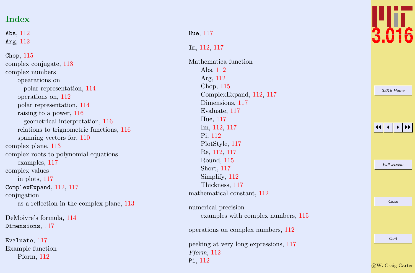# Index

Abs,  $112$ Arg , [112](#page-2-0)

Chop , [115](#page-5-0) complex conjugate, [113](#page-3-0) complex numbers opearations on polar representation, [114](#page-4-0) operations on, [112](#page-2-0) polar representation, [114](#page-4-0) raising to a power, [116](#page-6-0) geometrical interpretation, [116](#page-6-0) relations to trignometric functions, [116](#page-6-0) spanning vectors for, [110](#page-0-0) complex plane, [113](#page-3-0) complex roots to polynomial equations examples, [117](#page-7-0) complex values in plots, [117](#page-7-0) ComplexExpand, [112](#page-2-0), [117](#page-7-0) conjugation as a reflection in the complex plane, [113](#page-3-0)

DeMoivre's formula, [114](#page-4-0) Dimensions , [117](#page-7-0)

Evaluate , [117](#page-7-0) Example function Pform, [112](#page-2-0)

Hue , [117](#page-7-0)

Pi , [112](#page-2-0)

#### Im , [112](#page-2-0) , [117](#page-7-0)

Mathematica function Abs, [112](#page-2-0) Arg, [112](#page-2-0) Chop, [115](#page-5-0) ComplexExpand, [112](#page-2-0) , [117](#page-7-0) Dimensions, [117](#page-7-0) Evaluate, [117](#page-7-0) Hue, [117](#page-7-0) Im, [112](#page-2-0) , [117](#page-7-0) Pi, [112](#page-2-0) PlotStyle, [117](#page-7-0) Re, [112](#page-2-0) , [117](#page-7-0) Round, [115](#page-5-0) Short, [117](#page-7-0) Simplify, [112](#page-2-0) Thickness, [117](#page-7-0) mathematical constant, [112](#page-2-0) numerical precision examples with complex numbers, [115](#page-5-0) operations on complex numbers, [112](#page-2-0) peeking at very long expressions, [117](#page-7-0) Pform , [112](#page-2-0)



| 3.016 Home         |
|--------------------|
|                    |
| <b>Full Screen</b> |
|                    |
| Close              |
| Quit               |

c W. Craig Carter